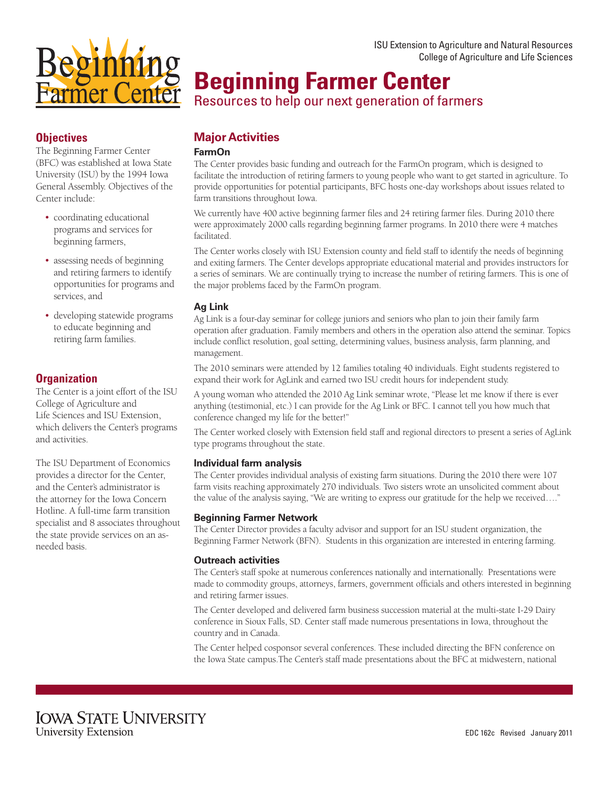

# **Objectives**

The Beginning Farmer Center (BFC) was established at Iowa State University (ISU) by the 1994 Iowa General Assembly. Objectives of the Center include:

- coordinating educational programs and services for beginning farmers,
- assessing needs of beginning and retiring farmers to identify opportunities for programs and services, and
- developing statewide programs to educate beginning and retiring farm families.

# **Organization**

The Center is a joint effort of the ISU College of Agriculture and Life Sciences and ISU Extension, which delivers the Center's programs and activities.

The ISU Department of Economics provides a director for the Center, and the Center's administrator is the attorney for the Iowa Concern Hotline. A full-time farm transition specialist and 8 associates throughout the state provide services on an asneeded basis.

# **Beginning Farmer Center**

Resources to help our next generation of farmers

# **Major Activities**

#### **FarmOn**

The Center provides basic funding and outreach for the FarmOn program, which is designed to facilitate the introduction of retiring farmers to young people who want to get started in agriculture. To provide opportunities for potential participants, BFC hosts one-day workshops about issues related to farm transitions throughout Iowa.

We currently have 400 active beginning farmer files and 24 retiring farmer files. During 2010 there were approximately 2000 calls regarding beginning farmer programs. In 2010 there were 4 matches facilitated.

The Center works closely with ISU Extension county and field staff to identify the needs of beginning and exiting farmers. The Center develops appropriate educational material and provides instructors for a series of seminars. We are continually trying to increase the number of retiring farmers. This is one of the major problems faced by the FarmOn program.

## **Ag Link**

Ag Link is a four-day seminar for college juniors and seniors who plan to join their family farm operation after graduation. Family members and others in the operation also attend the seminar. Topics include conflict resolution, goal setting, determining values, business analysis, farm planning, and management.

The 2010 seminars were attended by 12 families totaling 40 individuals. Eight students registered to expand their work for AgLink and earned two ISU credit hours for independent study.

A young woman who attended the 2010 Ag Link seminar wrote, "Please let me know if there is ever anything (testimonial, etc.) I can provide for the Ag Link or BFC. I cannot tell you how much that conference changed my life for the better!"

The Center worked closely with Extension field staff and regional directors to present a series of AgLink type programs throughout the state.

#### **Individual farm analysis**

The Center provides individual analysis of existing farm situations. During the 2010 there were 107 farm visits reaching approximately 270 individuals. Two sisters wrote an unsolicited comment about the value of the analysis saying, "We are writing to express our gratitude for the help we received…."

#### **Beginning Farmer Network**

The Center Director provides a faculty advisor and support for an ISU student organization, the Beginning Farmer Network (BFN). Students in this organization are interested in entering farming.

#### **Outreach activities**

The Center's staff spoke at numerous conferences nationally and internationally. Presentations were made to commodity groups, attorneys, farmers, government officials and others interested in beginning and retiring farmer issues.

The Center developed and delivered farm business succession material at the multi-state I-29 Dairy conference in Sioux Falls, SD. Center staff made numerous presentations in Iowa, throughout the country and in Canada.

The Center helped cosponsor several conferences. These included directing the BFN conference on the Iowa State campus.The Center's staff made presentations about the BFC at midwestern, national